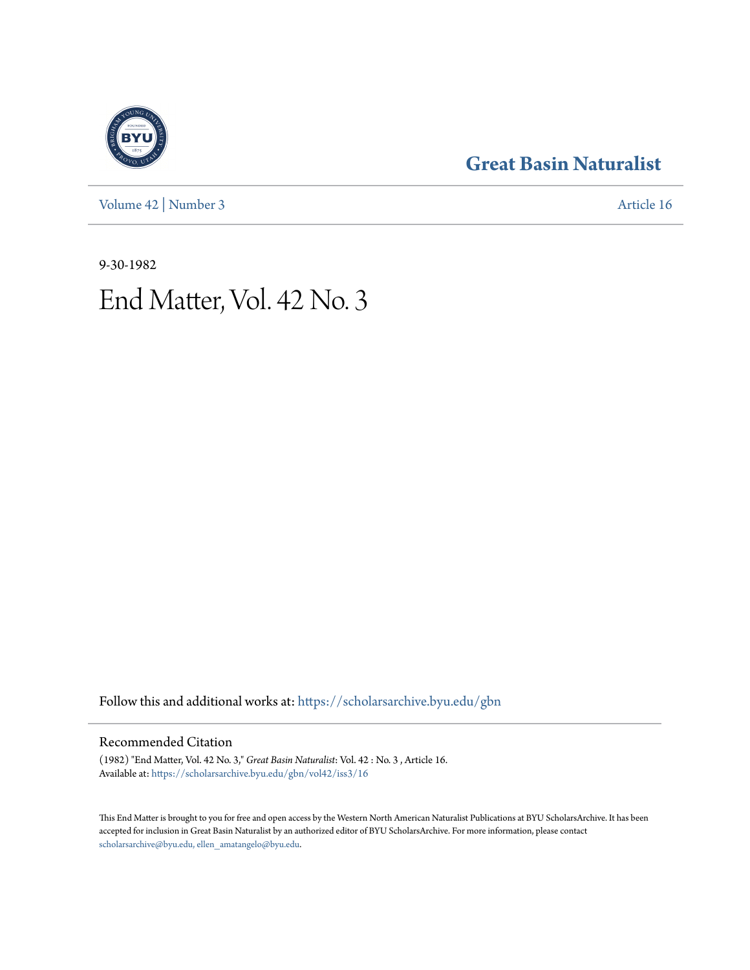[Volume 42](https://scholarsarchive.byu.edu/gbn/vol42?utm_source=scholarsarchive.byu.edu%2Fgbn%2Fvol42%2Fiss3%2F16&utm_medium=PDF&utm_campaign=PDFCoverPages) | [Number 3](https://scholarsarchive.byu.edu/gbn/vol42/iss3?utm_source=scholarsarchive.byu.edu%2Fgbn%2Fvol42%2Fiss3%2F16&utm_medium=PDF&utm_campaign=PDFCoverPages) [Article 16](https://scholarsarchive.byu.edu/gbn/vol42/iss3/16?utm_source=scholarsarchive.byu.edu%2Fgbn%2Fvol42%2Fiss3%2F16&utm_medium=PDF&utm_campaign=PDFCoverPages)

# **[Great Basin Naturalist](https://scholarsarchive.byu.edu/gbn?utm_source=scholarsarchive.byu.edu%2Fgbn%2Fvol42%2Fiss3%2F16&utm_medium=PDF&utm_campaign=PDFCoverPages)**

9-30-1982 End Matter, Vol. 42 No. 3

Follow this and additional works at: [https://scholarsarchive.byu.edu/gbn](https://scholarsarchive.byu.edu/gbn?utm_source=scholarsarchive.byu.edu%2Fgbn%2Fvol42%2Fiss3%2F16&utm_medium=PDF&utm_campaign=PDFCoverPages)

# Recommended Citation

(1982) "End Matter, Vol. 42 No. 3," *Great Basin Naturalist*: Vol. 42 : No. 3 , Article 16. Available at: [https://scholarsarchive.byu.edu/gbn/vol42/iss3/16](https://scholarsarchive.byu.edu/gbn/vol42/iss3/16?utm_source=scholarsarchive.byu.edu%2Fgbn%2Fvol42%2Fiss3%2F16&utm_medium=PDF&utm_campaign=PDFCoverPages)

This End Matter is brought to you for free and open access by the Western North American Naturalist Publications at BYU ScholarsArchive. It has been accepted for inclusion in Great Basin Naturalist by an authorized editor of BYU ScholarsArchive. For more information, please contact [scholarsarchive@byu.edu, ellen\\_amatangelo@byu.edu.](mailto:scholarsarchive@byu.edu,%20ellen_amatangelo@byu.edu)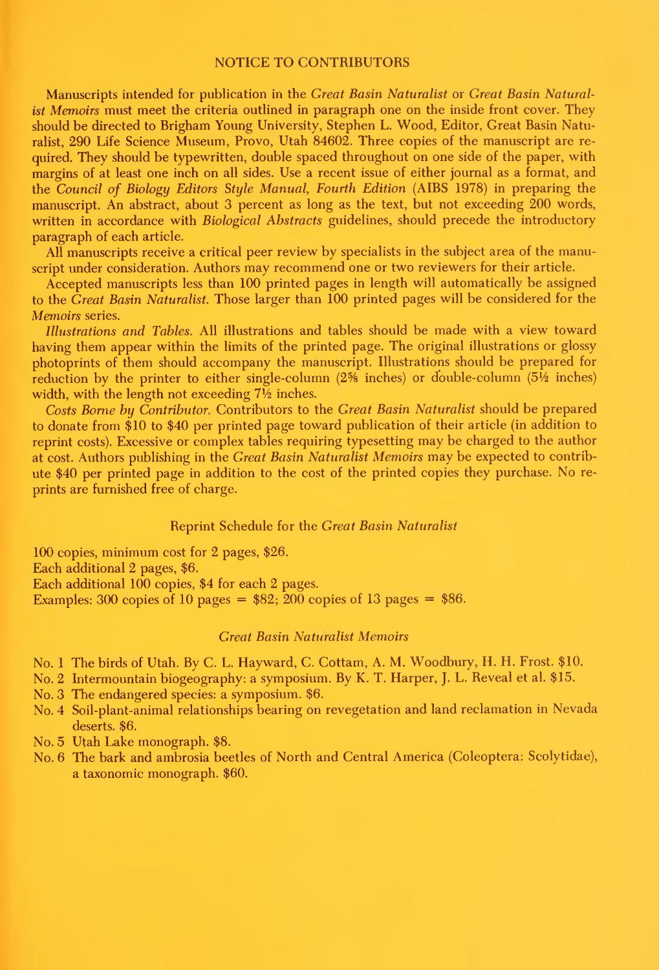#### NOTICE TO CONTRIBUTORS

Manuscripts intended for publication in the Great Basin Naturalist or Great Basin Naturalist Memoirs must meet the criteria outlined in paragraph one on the inside front cover. They should be directed to Brigham Young University, Stephen L. Wood, Editor, Great Basin Naturalist, 290 Life Science Museum, Provo, Utah 84602. Three copies of the manuscript are re quired. They should be typewritten, double spaced throughout on one side of the paper, with margins of at least one inch on all sides. Use a recent issue of either journal as a format, and the Council of Biology Editors Style Manual, Fourth Edition (AIBS 1978) in preparing the manuscript. An abstract, about 3 percent as long as the text, but not exceeding 200 words, written in accordance with *Biological Abstracts* guidelines, should precede the introductory paragraph of each article.

All manuscripts receive a critical peer review by specialists in the subject area of the manuscript under consideration. Authors may recommend one or two reviewers for their article.

Accepted manuscripts less than 100 printed pages in length will automatically be assigned to the Great Basin Naturalist. Those larger than 100 printed pages will be considered for the Memoirs series.

Illustrations and Tables. All illustrations and tables should be made with a view toward having them appear within the limits of the printed page. The original illustrations or glossy photoprints of them should accompany the manuscript. Illustrations should be prepared for reduction by the printer to either single-column  $(2\frac{5}{6}$  inches) or double-column  $(5\frac{1}{2})$  inches) width, with the length not exceeding  $7\frac{1}{2}$  inches.

Costs Borne by Contributor. Contributors to the Great Basin Naturalist should be prepared to donate from \$10 to \$40 per printed page toward publication of their article (in addition to reprint costs). Excessive or complex tables requiring typesetting may be charged to the author at cost. Authors publishing in the Great Basin Naturalist Memoirs may be expected to contrib ute \$40 per printed page in addition to the cost of the printed copies they purchase. No re prints are furnished free of charge.

### Reprint Schedule for the Great Basin Naturalist

100 copies, minimum cost for 2 pages, \$26. Each additional 2 pages, \$6. Each additional 100 copies, \$4 for each 2 pages. Examples: 300 copies of 10 pages =  $$82; 200$  copies of 13 pages =  $$86.$ 

#### Great Basin Naturalist Memoirs

- No. <sup>1</sup> The birds of Utah. By C. L. Hayward, C. Cottam, A. M. Woodbury, H. H. Frost. \$10.
- No. 2 Intermountain biogeography: <sup>a</sup> symposium. By K. T. Harper, J. L. Reveal et al. \$15.
- No. 3 The endangered species: a symposium. \$6.
- No. 4 Soil-plant-animal relationships bearing on revegetation and land reclamation in Nevada deserts. \$6.
- No. 5 Utah Lake monograph. \$8.
- No. 6 The bark and ambrosia beetles of North and Central America (Coleoptera: Scolytidae), a taxonomic monograph. \$60.